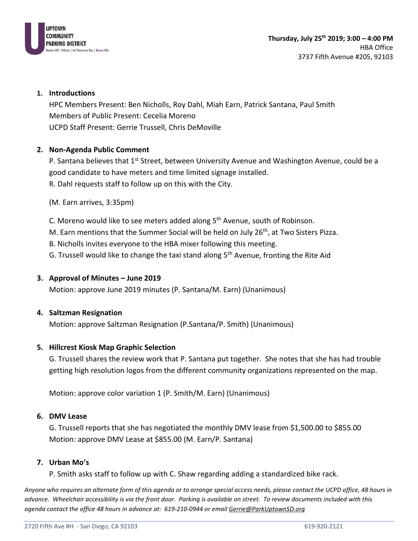

# **1. Introductions**

HPC Members Present: Ben Nicholls, Roy Dahl, Miah Earn, Patrick Santana, Paul Smith Members of Public Present: Cecelia Moreno UCPD Staff Present: Gerrie Trussell, Chris DeMoville

# **2. Non-Agenda Public Comment**

P. Santana believes that 1<sup>st</sup> Street, between University Avenue and Washington Avenue, could be a good candidate to have meters and time limited signage installed. R. Dahl requests staff to follow up on this with the City.

(M. Earn arrives, 3:35pm)

C. Moreno would like to see meters added along 5<sup>th</sup> Avenue, south of Robinson.

M. Earn mentions that the Summer Social will be held on July 26<sup>th</sup>, at Two Sisters Pizza.

B. Nicholls invites everyone to the HBA mixer following this meeting.

G. Trussell would like to change the taxi stand along  $5<sup>th</sup>$  Avenue, fronting the Rite Aid

## **3. Approval of Minutes – June 2019**

Motion: approve June 2019 minutes (P. Santana/M. Earn) (Unanimous)

## **4. Saltzman Resignation**

Motion: approve Saltzman Resignation (P.Santana/P. Smith) (Unanimous)

## **5. Hillcrest Kiosk Map Graphic Selection**

G. Trussell shares the review work that P. Santana put together. She notes that she has had trouble getting high resolution logos from the different community organizations represented on the map.

Motion: approve color variation 1 (P. Smith/M. Earn) (Unanimous)

## **6. DMV Lease**

G. Trussell reports that she has negotiated the monthly DMV lease from \$1,500.00 to \$855.00 Motion: approve DMV Lease at \$855.00 (M. Earn/P. Santana)

## **7. Urban Mo's**

P. Smith asks staff to follow up with C. Shaw regarding adding a standardized bike rack.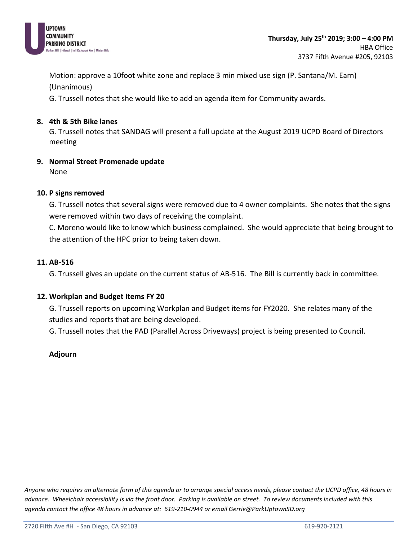

Motion: approve a 10foot white zone and replace 3 min mixed use sign (P. Santana/M. Earn) (Unanimous)

G. Trussell notes that she would like to add an agenda item for Community awards.

## **8. 4th & 5th Bike lanes**

G. Trussell notes that SANDAG will present a full update at the August 2019 UCPD Board of Directors meeting

# **9. Normal Street Promenade update**

None

## **10. P signs removed**

G. Trussell notes that several signs were removed due to 4 owner complaints. She notes that the signs were removed within two days of receiving the complaint.

C. Moreno would like to know which business complained. She would appreciate that being brought to the attention of the HPC prior to being taken down.

#### **11. AB-516**

G. Trussell gives an update on the current status of AB-516. The Bill is currently back in committee.

## **12. Workplan and Budget Items FY 20**

G. Trussell reports on upcoming Workplan and Budget items for FY2020. She relates many of the studies and reports that are being developed.

G. Trussell notes that the PAD (Parallel Across Driveways) project is being presented to Council.

## **Adjourn**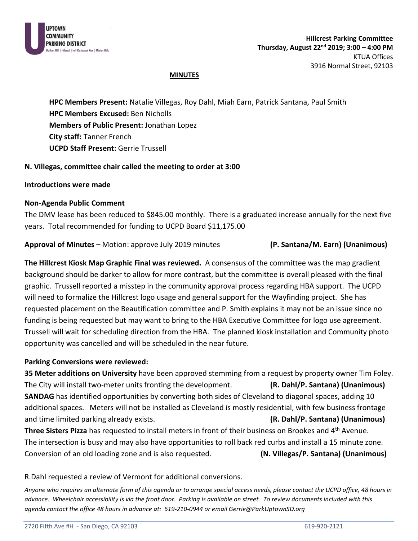

## **MINUTES**

**HPC Members Present:** Natalie Villegas, Roy Dahl, Miah Earn, Patrick Santana, Paul Smith **HPC Members Excused:** Ben Nicholls **Members of Public Present:** Jonathan Lopez **City staff:** Tanner French **UCPD Staff Present:** Gerrie Trussell

## **N. Villegas, committee chair called the meeting to order at 3:00**

#### **Introductions were made**

#### **Non-Agenda Public Comment**

The DMV lease has been reduced to \$845.00 monthly. There is a graduated increase annually for the next five years. Total recommended for funding to UCPD Board \$11,175.00

**Approval of Minutes –** Motion: approve July 2019 minutes **(P. Santana/M. Earn) (Unanimous)**

**The Hillcrest Kiosk Map Graphic Final was reviewed.** A consensus of the committee was the map gradient background should be darker to allow for more contrast, but the committee is overall pleased with the final graphic. Trussell reported a misstep in the community approval process regarding HBA support. The UCPD will need to formalize the Hillcrest logo usage and general support for the Wayfinding project. She has requested placement on the Beautification committee and P. Smith explains it may not be an issue since no funding is being requested but may want to bring to the HBA Executive Committee for logo use agreement. Trussell will wait for scheduling direction from the HBA. The planned kiosk installation and Community photo opportunity was cancelled and will be scheduled in the near future.

#### **Parking Conversions were reviewed:**

**35 Meter additions on University** have been approved stemming from a request by property owner Tim Foley. The City will install two-meter units fronting the development. **(R. Dahl/P. Santana) (Unanimous) SANDAG** has identified opportunities by converting both sides of Cleveland to diagonal spaces, adding 10 additional spaces. Meters will not be installed as Cleveland is mostly residential, with few business frontage and time limited parking already exists. **(R. Dahl/P. Santana) (Unanimous) Three Sisters Pizza** has requested to install meters in front of their business on Brookes and 4th Avenue.

The intersection is busy and may also have opportunities to roll back red curbs and install a 15 minute zone. Conversion of an old loading zone and is also requested. **(N. Villegas/P. Santana) (Unanimous)**

## R.Dahl requested a review of Vermont for additional conversions.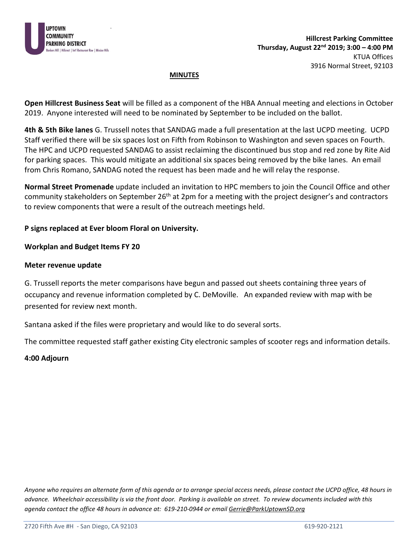

## **MINUTES**

**Open Hillcrest Business Seat** will be filled as a component of the HBA Annual meeting and elections in October 2019. Anyone interested will need to be nominated by September to be included on the ballot.

**4th & 5th Bike lanes** G. Trussell notes that SANDAG made a full presentation at the last UCPD meeting. UCPD Staff verified there will be six spaces lost on Fifth from Robinson to Washington and seven spaces on Fourth. The HPC and UCPD requested SANDAG to assist reclaiming the discontinued bus stop and red zone by Rite Aid for parking spaces. This would mitigate an additional six spaces being removed by the bike lanes. An email from Chris Romano, SANDAG noted the request has been made and he will relay the response.

**Normal Street Promenade** update included an invitation to HPC members to join the Council Office and other community stakeholders on September 26<sup>th</sup> at 2pm for a meeting with the project designer's and contractors to review components that were a result of the outreach meetings held.

## **P signs replaced at Ever bloom Floral on University.**

#### **Workplan and Budget Items FY 20**

#### **Meter revenue update**

G. Trussell reports the meter comparisons have begun and passed out sheets containing three years of occupancy and revenue information completed by C. DeMoville. An expanded review with map with be presented for review next month.

Santana asked if the files were proprietary and would like to do several sorts.

The committee requested staff gather existing City electronic samples of scooter regs and information details.

## **4:00 Adjourn**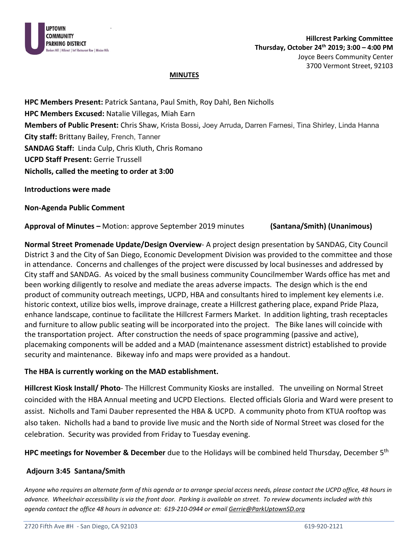

#### **MINUTES**

**HPC Members Present:** Patrick Santana, Paul Smith, Roy Dahl, Ben Nicholls **HPC Members Excused:** Natalie Villegas, Miah Earn **Members of Public Present:** Chris Shaw, Krista Bossi, Joey Arruda, Darren Farnesi, Tina Shirley, Linda Hanna **City staff:** Brittany Bailey, French, Tanner **SANDAG Staff:** Linda Culp, Chris Kluth, Chris Romano **UCPD Staff Present:** Gerrie Trussell **Nicholls, called the meeting to order at 3:00** 

**Introductions were made**

**Non-Agenda Public Comment** 

**Approval of Minutes –** Motion: approve September 2019 minutes **(Santana/Smith) (Unanimous)**

**Normal Street Promenade Update/Design Overview**- A project design presentation by SANDAG, City Council District 3 and the City of San Diego, Economic Development Division was provided to the committee and those in attendance. Concerns and challenges of the project were discussed by local businesses and addressed by City staff and SANDAG. As voiced by the small business community Councilmember Wards office has met and been working diligently to resolve and mediate the areas adverse impacts. The design which is the end product of community outreach meetings, UCPD, HBA and consultants hired to implement key elements i.e. historic context, utilize bios wells, improve drainage, create a Hillcrest gathering place, expand Pride Plaza, enhance landscape, continue to facilitate the Hillcrest Farmers Market. In addition lighting, trash receptacles and furniture to allow public seating will be incorporated into the project. The Bike lanes will coincide with the transportation project. After construction the needs of space programming (passive and active), placemaking components will be added and a MAD (maintenance assessment district) established to provide security and maintenance. Bikeway info and maps were provided as a handout.

## **The HBA is currently working on the MAD establishment.**

**Hillcrest Kiosk Install/ Photo**- The Hillcrest Community Kiosks are installed. The unveiling on Normal Street coincided with the HBA Annual meeting and UCPD Elections. Elected officials Gloria and Ward were present to assist. Nicholls and Tami Dauber represented the HBA & UCPD. A community photo from KTUA rooftop was also taken. Nicholls had a band to provide live music and the North side of Normal Street was closed for the celebration. Security was provided from Friday to Tuesday evening.

**HPC meetings for November & December** due to the Holidays will be combined held Thursday, December 5th

## **Adjourn 3:45 Santana/Smith**